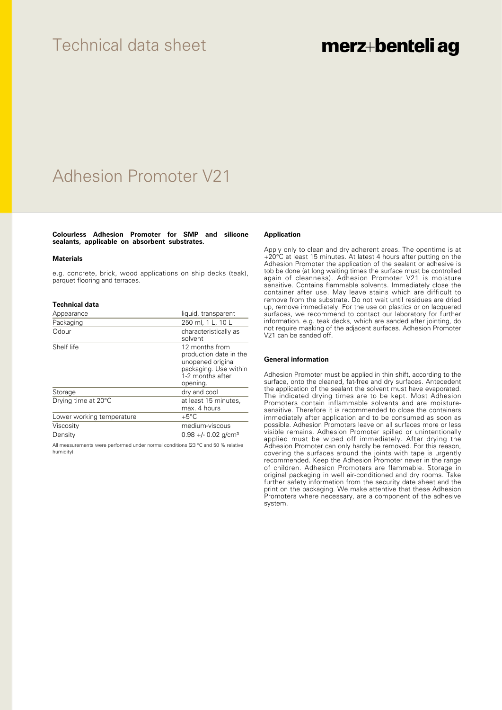## Technical data sheet

# merz+benteli ag

# Adhesion Promoter V21

### **Colourless Adhesion Promoter for SMP and silicone sealants, applicable on absorbent substrates.**

#### **Materials**

e.g. concrete, brick, wood applications on ship decks (teak), parquet flooring and terraces.

#### **Technical data**

| Appearance                | liquid, transparent                                                                                                    |
|---------------------------|------------------------------------------------------------------------------------------------------------------------|
| Packaging                 | 250 ml, 1 L, 10 L                                                                                                      |
| Odour                     | characteristically as<br>solvent                                                                                       |
| Shelf life                | 12 months from<br>production date in the<br>unopened original<br>packaging. Use within<br>1-2 months after<br>opening. |
| Storage                   | dry and cool                                                                                                           |
| Drying time at 20°C       | at least 15 minutes,<br>max. 4 hours                                                                                   |
| Lower working temperature | $+5^{\circ}$ C                                                                                                         |
| Viscosity                 | medium-viscous                                                                                                         |
| Density                   | $0.98 +/- 0.02$ g/cm <sup>3</sup>                                                                                      |

All measurements were performed under normal conditions (23 °C and 50 % relative humidity).

### **Application**

Apply only to clean and dry adherent areas. The opentime is at +20°C at least 15 minutes. At latest 4 hours after putting on the Adhesion Promoter the application of the sealant or adhesive is tob be done (at long waiting times the surface must be controlled again of cleanness). Adhesion Promoter V21 is moisture sensitive. Contains flammable solvents. Immediately close the container after use. May leave stains which are difficult to remove from the substrate. Do not wait until residues are dried up, remove immediately. For the use on plastics or on lacquered surfaces, we recommend to contact our laboratory for further information. e.g. teak decks, which are sanded after jointing, do not require masking of the adjacent surfaces. Adhesion Promoter V21 can be sanded off.

#### **General information**

Adhesion Promoter must be applied in thin shift, according to the surface, onto the cleaned, fat-free and dry surfaces. Antecedent the application of the sealant the solvent must have evaporated. The indicated drying times are to be kept. Most Adhesion Promoters contain inflammable solvents and are moisturesensitive. Therefore it is recommended to close the containers immediately after application and to be consumed as soon as possible. Adhesion Promoters leave on all surfaces more or less visible remains. Adhesion Promoter spilled or unintentionally applied must be wiped off immediately. After drying the Adhesion Promoter can only hardly be removed. For this reason, covering the surfaces around the joints with tape is urgently recommended. Keep the Adhesion Promoter never in the range of children. Adhesion Promoters are flammable. Storage in original packaging in well air-conditioned and dry rooms. Take further safety information from the security date sheet and the print on the packaging. We make attentive that these Adhesion Promoters where necessary, are a component of the adhesive system.